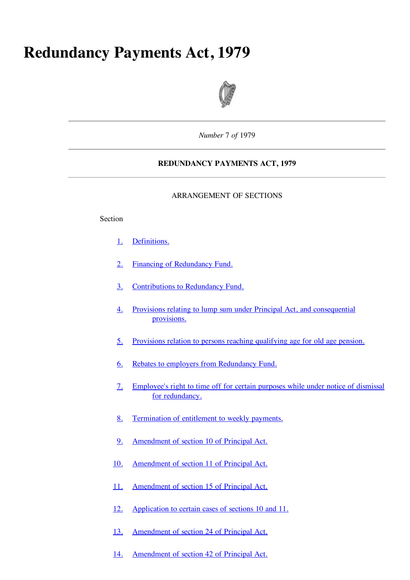# **Redundancy Payments Act, 1979**



*Number* 7 *of* 1979

# **REDUNDANCY PAYMENTS ACT, 1979**

#### ARRANGEMENT OF SECTIONS

#### Section

- 1. Definitions.
- 2. Financing of Redundancy Fund.
- 3. Contributions to Redundancy Fund.
- 4. Provisions relating to lump sum under Principal Act, and consequential provisions.
- 5. Provisions relation to persons reaching qualifying age for old age pension.
- 6. Rebates to employers from Redundancy Fund.
- 7. Employee's right to time off for certain purposes while under notice of dismissal for redundancy.
- 8. Termination of entitlement to weekly payments.
- 9. Amendment of section 10 of Principal Act.
- 10. Amendment of section 11 of Principal Act.
- 11. Amendment of section 15 of Principal Act.
- 12. Application to certain cases of sections 10 and 11.
- 13. Amendment of section 24 of Principal Act.
- 14. Amendment of section 42 of Principal Act.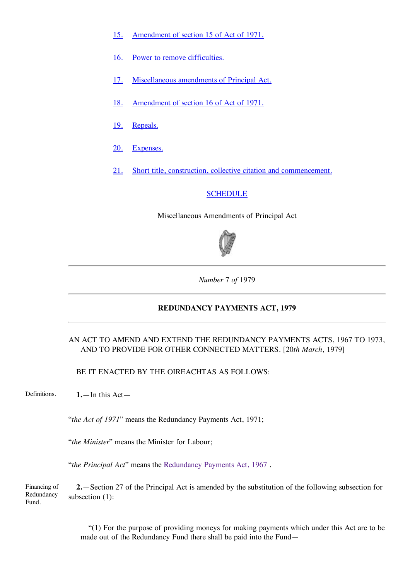- 15. Amendment of section 15 of Act of 1971.
- 16. Power to remove difficulties.
- 17. Miscellaneous amendments of Principal Act.
- 18. Amendment of section 16 of Act of 1971.
- 19. Repeals.
- 20. Expenses.
- 21. Short title, construction, collective citation and commencement.

# **SCHEDULE**

Miscellaneous Amendments of Principal Act



*Number* 7 *of* 1979

## **REDUNDANCY PAYMENTS ACT, 1979**

# AN ACT TO AMEND AND EXTEND THE REDUNDANCY PAYMENTS ACTS, 1967 TO 1973, AND TO PROVIDE FOR OTHER CONNECTED MATTERS. [20*th March*, 1979]

BE IT ENACTED BY THE OIREACHTAS AS FOLLOWS:

Definitions. **1.**—In this Act—

"*the Act of 1971*" means the Redundancy Payments Act, 1971;

"*the Minister*" means the Minister for Labour;

"*the Principal Act*" means the [Redundancy](http://www.irishstatutebook.ie/1967/en/act/pub/0021/index.html) Payments Act, 1967 .

Financing of Redundancy Fund. **2.**—Section 27 of the Principal Act is amended by the substitution of the following subsection for subsection (1):

> "(1) For the purpose of providing moneys for making payments which under this Act are to be made out of the Redundancy Fund there shall be paid into the Fund—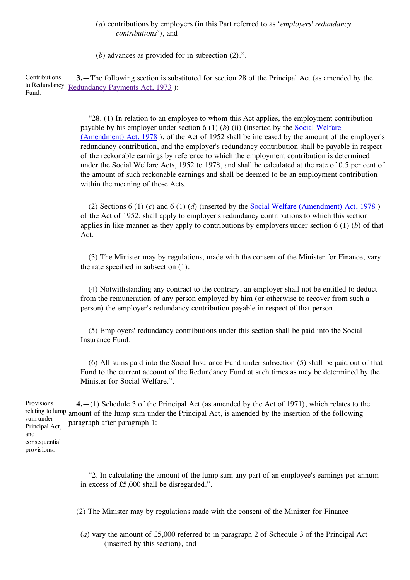## (*a*) contributions by employers (in this Part referred to as '*employers' redundancy contributions*'), and

(*b*) advances as provided for in subsection (2).".

Contributions to [Redundancy](http://www.irishstatutebook.ie/1973/en/act/pub/0011/index.html) Redundancy Payments Act, 1973): Fund. **3.**—The following section is substituted for section 28 of the Principal Act (as amended by the

> "28. (1) In relation to an employee to whom this Act applies, the employment contribution payable by his employer under section 6 (1) (*b*) (ii) (inserted by the Social Welfare [\(Amendment\)](http://www.irishstatutebook.ie/1978/en/act/pub/0025/index.html) Act, 1978 ), of the Act of 1952 shall be increased by the amount of the employer's redundancy contribution, and the employer's redundancy contribution shall be payable in respect of the reckonable earnings by reference to which the employment contribution is determined under the Social Welfare Acts, 1952 to 1978, and shall be calculated at the rate of 0.5 per cent of the amount of such reckonable earnings and shall be deemed to be an employment contribution within the meaning of those Acts.

> (2) Sections 6 (1) (*c*) and 6 (1) (*d*) (inserted by the Social Welfare [\(Amendment\)](http://www.irishstatutebook.ie/1978/en/act/pub/0025/index.html) Act, 1978 ) of the Act of 1952, shall apply to employer's redundancy contributions to which this section applies in like manner as they apply to contributions by employers under section 6 (1) (*b*) of that Act.

> (3) The Minister may by regulations, made with the consent of the Minister for Finance, vary the rate specified in subsection (1).

(4) Notwithstanding any contract to the contrary, an employer shall not be entitled to deduct from the remuneration of any person employed by him (or otherwise to recover from such a person) the employer's redundancy contribution payable in respect of that person.

(5) Employers' redundancy contributions under this section shall be paid into the Social Insurance Fund.

(6) All sums paid into the Social Insurance Fund under subsection (5) shall be paid out of that Fund to the current account of the Redundancy Fund at such times as may be determined by the Minister for Social Welfare.".

Provisions relating to lump amount of the lump sum under the Principal Act, is amended by the insertion of the following sum under Principal Act, **4.**—(1) Schedule 3 of the Principal Act (as amended by the Act of 1971), which relates to the paragraph after paragraph 1:

and consequential provisions.

> "2. In calculating the amount of the lump sum any part of an employee's earnings per annum in excess of £5,000 shall be disregarded.".

(2) The Minister may by regulations made with the consent of the Minister for Finance—

(*a*) vary the amount of £5,000 referred to in paragraph 2 of Schedule 3 of the Principal Act (inserted by this section), and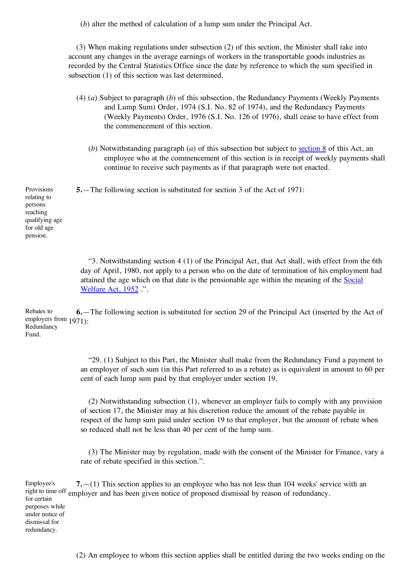(*b*) alter the method of calculation of a lump sum under the Principal Act.

(3) When making regulations under subsection (2) of this section, the Minister shall take into account any changes in the average earnings of workers in the transportable goods industries as recorded by the Central Statistics Office since the date by reference to which the sum specified in subsection (1) of this section was last determined.

- (4) (*a*) Subject to paragraph (*b*) of this subsection, the Redundancy Payments (Weekly Payments and Lump Sum) Order, 1974 (S.I. No. 82 of 1974), and the Redundancy Payments (Weekly Payments) Order, 1976 (S.I. No. 126 of 1976), shall cease to have effect from the commencement of this section.
	- (*b*) Notwithstanding paragraph (*a*) of this subsection but subject to section 8 of this Act, an employee who at the commencement of this section is in receipt of weekly payments shall continue to receive such payments as if that paragraph were not enacted.

**5.**—The following section is substituted for section 3 of the Act of 1971:

Provisions relating to persons reaching qualifying age for old age pension.

> "3. Notwithstanding section 4 (1) of the Principal Act, that Act shall, with effect from the 6th day of April, 1980, not apply to a person who on the date of termination of his employment had attained the age which on that date is the [pensionable](http://www.irishstatutebook.ie/1952/en/act/pub/0011/index.html) age within the meaning of the Social Welfare Act, 1952 .".

Rebates to employers from 1971): Redundancy Fund. **6.**—The following section is substituted for section 29 of the Principal Act (inserted by the Act of

> "29. (1) Subject to this Part, the Minister shall make from the Redundancy Fund a payment to an employer of such sum (in this Part referred to as a rebate) as is equivalent in amount to 60 per cent of each lump sum paid by that employer under section 19.

> (2) Notwithstanding subsection (1), whenever an employer fails to comply with any provision of section 17, the Minister may at his discretion reduce the amount of the rebate payable in respect of the lump sum paid under section 19 to that employer, but the amount of rebate when so reduced shall not be less than 40 per cent of the lump sum.

> (3) The Minister may by regulation, made with the consent of the Minister for Finance, vary a rate of rebate specified in this section.".

Employee's right to time off employer and has been given notice of proposed dismissal by reason of redundancy. for certain purposes while under notice of dismissal for redundancy. **7.**—(1) This section applies to an employee who has not less than 104 weeks' service with an

(2) An employee to whom this section applies shall be entitled during the two weeks ending on the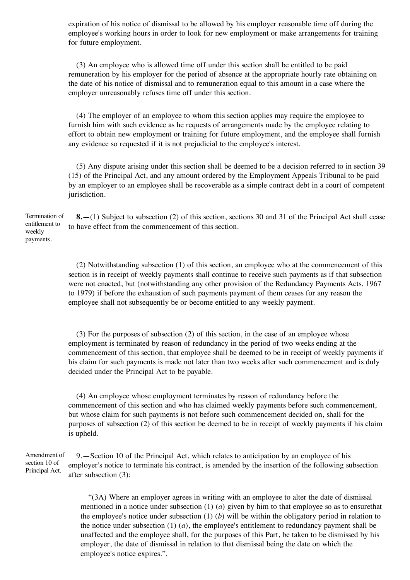expiration of his notice of dismissal to be allowed by his employer reasonable time off during the employee's working hours in order to look for new employment or make arrangements for training for future employment.

(3) An employee who is allowed time off under this section shall be entitled to be paid remuneration by his employer for the period of absence at the appropriate hourly rate obtaining on the date of his notice of dismissal and to remuneration equal to this amount in a case where the employer unreasonably refuses time off under this section.

(4) The employer of an employee to whom this section applies may require the employee to furnish him with such evidence as he requests of arrangements made by the employee relating to effort to obtain new employment or training for future employment, and the employee shall furnish any evidence so requested if it is not prejudicial to the employee's interest.

(5) Any dispute arising under this section shall be deemed to be a decision referred to in section 39 (15) of the Principal Act, and any amount ordered by the Employment Appeals Tribunal to be paid by an employer to an employee shall be recoverable as a simple contract debt in a court of competent jurisdiction.

Termination of entitlement to weekly payments. **8.**—(1) Subject to subsection (2) of this section, sections 30 and 31 of the Principal Act shall cease to have effect from the commencement of this section.

> (2) Notwithstanding subsection (1) of this section, an employee who at the commencement of this section is in receipt of weekly payments shall continue to receive such payments as if that subsection were not enacted, but (notwithstanding any other provision of the Redundancy Payments Acts, 1967 to 1979) if before the exhaustion of such payments payment of them ceases for any reason the employee shall not subsequently be or become entitled to any weekly payment.

> (3) For the purposes of subsection (2) of this section, in the case of an employee whose employment is terminated by reason of redundancy in the period of two weeks ending at the commencement of this section, that employee shall be deemed to be in receipt of weekly payments if his claim for such payments is made not later than two weeks after such commencement and is duly decided under the Principal Act to be payable.

> (4) An employee whose employment terminates by reason of redundancy before the commencement of this section and who has claimed weekly payments before such commencement, but whose claim for such payments is not before such commencement decided on, shall for the purposes of subsection (2) of this section be deemed to be in receipt of weekly payments if his claim is upheld.

Amendment of section 10 of Principal Act. 9.—Section 10 of the Principal Act, which relates to anticipation by an employee of his employer's notice to terminate his contract, is amended by the insertion of the following subsection after subsection (3):

> "(3A) Where an employer agrees in writing with an employee to alter the date of dismissal mentioned in a notice under subsection (1) (*a*) given by him to that employee so as to ensurethat the employee's notice under subsection (1) (*b*) will be within the obligatory period in relation to the notice under subsection (1) (*a*), the employee's entitlement to redundancy payment shall be unaffected and the employee shall, for the purposes of this Part, be taken to be dismissed by his employer, the date of dismissal in relation to that dismissal being the date on which the employee's notice expires.".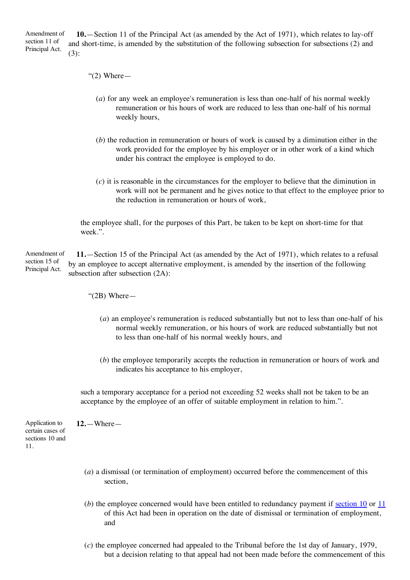Amendment of section 11 of Principal Act. **10.**—Section 11 of the Principal Act (as amended by the Act of 1971), which relates to lay-off and short-time, is amended by the substitution of the following subsection for subsections (2) and (3):

- " $(2)$  Where
	- (*a*) for any week an employee's remuneration is less than one-half of his normal weekly remuneration or his hours of work are reduced to less than one-half of his normal weekly hours,
	- (*b*) the reduction in remuneration or hours of work is caused by a diminution either in the work provided for the employee by his employer or in other work of a kind which under his contract the employee is employed to do.
	- (*c*) it is reasonable in the circumstances for the employer to believe that the diminution in work will not be permanent and he gives notice to that effect to the employee prior to the reduction in remuneration or hours of work,

the employee shall, for the purposes of this Part, be taken to be kept on short-time for that week.".

Amendment of section 15 of Principal Act. **11.**—Section 15 of the Principal Act (as amended by the Act of 1971), which relates to a refusal by an employee to accept alternative employment, is amended by the insertion of the following subsection after subsection (2A):

"(2B) Where—

**12.**—Where—

- (*a*) an employee's remuneration is reduced substantially but not to less than one-half of his normal weekly remuneration, or his hours of work are reduced substantially but not to less than one-half of his normal weekly hours, and
- (*b*) the employee temporarily accepts the reduction in remuneration or hours of work and indicates his acceptance to his employer,

such a temporary acceptance for a period not exceeding 52 weeks shall not be taken to be an acceptance by the employee of an offer of suitable employment in relation to him.".

Application to certain cases of sections 10 and 11.

- (*a*) a dismissal (or termination of employment) occurred before the commencement of this section,
- (*b*) the employee concerned would have been entitled to redundancy payment if section 10 or 11 of this Act had been in operation on the date of dismissal or termination of employment, and
- (*c*) the employee concerned had appealed to the Tribunal before the 1st day of January, 1979, but a decision relating to that appeal had not been made before the commencement of this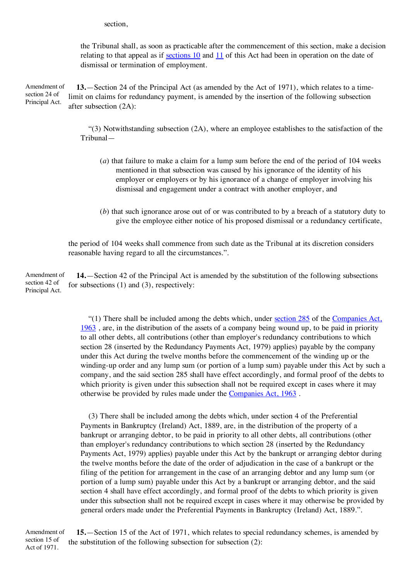section,

the Tribunal shall, as soon as practicable after the commencement of this section, make a decision relating to that appeal as if sections 10 and 11 of this Act had been in operation on the date of dismissal or termination of employment.

Amendment of section 24 of Principal Act. **13.**—Section 24 of the Principal Act (as amended by the Act of 1971), which relates to a timelimit on claims for redundancy payment, is amended by the insertion of the following subsection after subsection (2A):

> $(3)$  Notwithstanding subsection  $(2A)$ , where an employee establishes to the satisfaction of the Tribunal—

- (*a*) that failure to make a claim for a lump sum before the end of the period of 104 weeks mentioned in that subsection was caused by his ignorance of the identity of his employer or employers or by his ignorance of a change of employer involving his dismissal and engagement under a contract with another employer, and
- (*b*) that such ignorance arose out of or was contributed to by a breach of a statutory duty to give the employee either notice of his proposed dismissal or a redundancy certificate,

the period of 104 weeks shall commence from such date as the Tribunal at its discretion considers reasonable having regard to all the circumstances.".

Amendment of section 42 of Principal Act. **14.**—Section 42 of the Principal Act is amended by the substitution of the following subsections for subsections (1) and (3), respectively:

> "(1) There shall be included among the debts which, under [section](http://www.irishstatutebook.ie/1963/en/act/pub/0033/sec0285.html#sec285) 285 of the [Companies](http://www.irishstatutebook.ie/1963/en/act/pub/0033/index.html) Act, 1963 , are, in the distribution of the assets of a company being wound up, to be paid in priority to all other debts, all contributions (other than employer's redundancy contributions to which section 28 (inserted by the Redundancy Payments Act, 1979) applies) payable by the company under this Act during the twelve months before the commencement of the winding up or the winding-up order and any lump sum (or portion of a lump sum) payable under this Act by such a company, and the said section 285 shall have effect accordingly, and formal proof of the debts to which priority is given under this subsection shall not be required except in cases where it may otherwise be provided by rules made under the [Companies](http://www.irishstatutebook.ie/1963/en/act/pub/0033/index.html) Act, 1963 .

> (3) There shall be included among the debts which, under section 4 of the Preferential Payments in Bankruptcy (Ireland) Act, 1889, are, in the distribution of the property of a bankrupt or arranging debtor, to be paid in priority to all other debts, all contributions (other than employer's redundancy contributions to which section 28 (inserted by the Redundancy Payments Act, 1979) applies) payable under this Act by the bankrupt or arranging debtor during the twelve months before the date of the order of adjudication in the case of a bankrupt or the filing of the petition for arrangement in the case of an arranging debtor and any lump sum (or portion of a lump sum) payable under this Act by a bankrupt or arranging debtor, and the said section 4 shall have effect accordingly, and formal proof of the debts to which priority is given under this subsection shall not be required except in cases where it may otherwise be provided by general orders made under the Preferential Payments in Bankruptcy (Ireland) Act, 1889.".

Amendment of section 15 of Act of 1971. **15.**—Section 15 of the Act of 1971, which relates to special redundancy schemes, is amended by the substitution of the following subsection for subsection (2):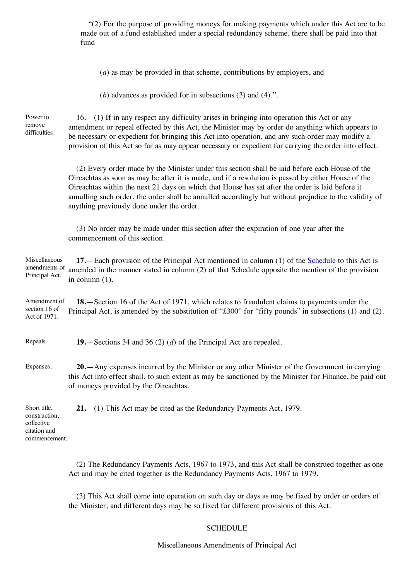"(2) For the purpose of providing moneys for making payments which under this Act are to be made out of a fund established under a special redundancy scheme, there shall be paid into that fund—

(*a*) as may be provided in that scheme, contributions by employers, and

(*b*) advances as provided for in subsections (3) and (4).".

Power to remove difficulties.

 $16.$ —(1) If in any respect any difficulty arises in bringing into operation this Act or any amendment or repeal effected by this Act, the Minister may by order do anything which appears to be necessary or expedient for bringing this Act into operation, and any such order may modify a provision of this Act so far as may appear necessary or expedient for carrying the order into effect.

(2) Every order made by the Minister under this section shall be laid before each House of the Oireachtas as soon as may be after it is made, and if a resolution is passed by either House of the Oireachtas within the next 21 days on which that House has sat after the order is laid before it annulling such order, the order shall be annulled accordingly but without prejudice to the validity of anything previously done under the order.

(3) No order may be made under this section after the expiration of one year after the commencement of this section.

Miscellaneous amendments of Principal Act. **17.**—Each provision of the Principal Act mentioned in column (1) of the Schedule to this Act is amended in the manner stated in column (2) of that Schedule opposite the mention of the provision in column (1).

Amendment of section 16 of Act of 1971. **18.**—Section 16 of the Act of 1971, which relates to fraudulent claims to payments under the Principal Act, is amended by the substitution of "£300" for "fifty pounds" in subsections (1) and (2).

Repeals. **19.**—Sections 34 and 36 (2) (*d*) of the Principal Act are repealed.

Expenses. **20.**—Any expenses incurred by the Minister or any other Minister of the Government in carrying this Act into effect shall, to such extent as may be sanctioned by the Minister for Finance, be paid out of moneys provided by the Oireachtas.

Short title, construction, collective citation and commencement. **21.**—(1) This Act may be cited as the Redundancy Payments Act, 1979.

> (2) The Redundancy Payments Acts, 1967 to 1973, and this Act shall be construed together as one Act and may be cited together as the Redundancy Payments Acts, 1967 to 1979.

(3) This Act shall come into operation on such day or days as may be fixed by order or orders of the Minister, and different days may be so fixed for different provisions of this Act.

#### **SCHEDULE**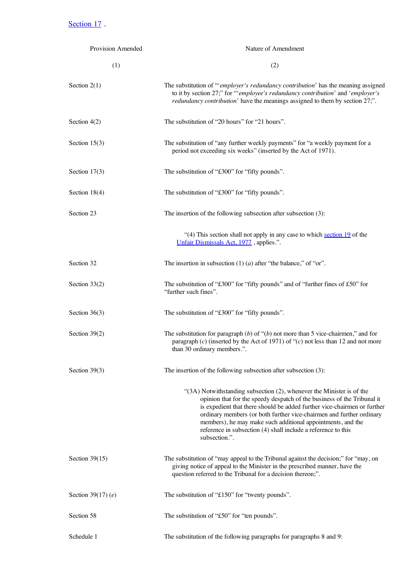Section 17.

| <b>Provision Amended</b> | Nature of Amendment                                                                                                                                                                                                                                                                                                                                                                                                                                         |  |
|--------------------------|-------------------------------------------------------------------------------------------------------------------------------------------------------------------------------------------------------------------------------------------------------------------------------------------------------------------------------------------------------------------------------------------------------------------------------------------------------------|--|
| (1)                      | (2)                                                                                                                                                                                                                                                                                                                                                                                                                                                         |  |
| Section $2(1)$           | The substitution of ""employer's redundancy contribution' has the meaning assigned<br>to it by section 27;" for ""employee's redundancy contribution' and 'employer's<br><i>redundancy contribution'</i> have the meanings assigned to them by section 27;".                                                                                                                                                                                                |  |
| Section $4(2)$           | The substitution of "20 hours" for "21 hours".                                                                                                                                                                                                                                                                                                                                                                                                              |  |
| Section $15(3)$          | The substitution of "any further weekly payments" for "a weekly payment for a<br>period not exceeding six weeks" (inserted by the Act of 1971).                                                                                                                                                                                                                                                                                                             |  |
| Section $17(3)$          | The substitution of "£300" for "fifty pounds".                                                                                                                                                                                                                                                                                                                                                                                                              |  |
| Section 18(4)            | The substitution of "£300" for "fifty pounds".                                                                                                                                                                                                                                                                                                                                                                                                              |  |
| Section 23               | The insertion of the following subsection after subsection (3):                                                                                                                                                                                                                                                                                                                                                                                             |  |
|                          | "(4) This section shall not apply in any case to which section 19 of the<br>Unfair Dismissals Act, 1977, applies.".                                                                                                                                                                                                                                                                                                                                         |  |
| Section 32               | The insertion in subsection $(1)$ $(a)$ after "the balance," of "or".                                                                                                                                                                                                                                                                                                                                                                                       |  |
| Section 33(2)            | The substitution of "£300" for "fifty pounds" and of "further fines of £50" for<br>"further such fines".                                                                                                                                                                                                                                                                                                                                                    |  |
| Section $36(3)$          | The substitution of "£300" for "fifty pounds".                                                                                                                                                                                                                                                                                                                                                                                                              |  |
| Section 39(2)            | The substitution for paragraph $(b)$ of " $(b)$ not more than 5 vice-chairmen," and for<br>paragraph (c) (inserted by the Act of 1971) of " $(c)$ not less than 12 and not more<br>than 30 ordinary members.".                                                                                                                                                                                                                                              |  |
| Section $39(3)$          | The insertion of the following subsection after subsection (3):                                                                                                                                                                                                                                                                                                                                                                                             |  |
|                          | " $(3A)$ Notwithstanding subsection $(2)$ , whenever the Minister is of the<br>opinion that for the speedy despatch of the business of the Tribunal it<br>is expedient that there should be added further vice-chairmen or further<br>ordinary members (or both further vice-chairmen and further ordinary<br>members), he may make such additional appointments, and the<br>reference in subsection (4) shall include a reference to this<br>subsection.". |  |
| Section $39(15)$         | The substitution of "may appeal to the Tribunal against the decision;" for "may, on<br>giving notice of appeal to the Minister in the prescribed manner, have the<br>question referred to the Tribunal for a decision thereon;".                                                                                                                                                                                                                            |  |
| Section 39 $(17)$ (e)    | The substitution of "£150" for "twenty pounds".                                                                                                                                                                                                                                                                                                                                                                                                             |  |
| Section 58               | The substitution of "£50" for "ten pounds".                                                                                                                                                                                                                                                                                                                                                                                                                 |  |
| Schedule 1               | The substitution of the following paragraphs for paragraphs 8 and 9:                                                                                                                                                                                                                                                                                                                                                                                        |  |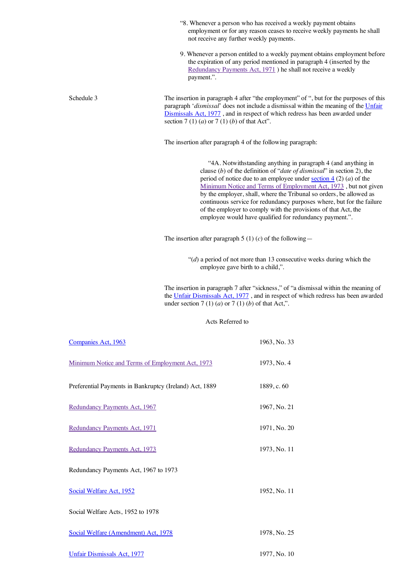|                                       |                                                         | "8. Whenever a person who has received a weekly payment obtains<br>employment or for any reason ceases to receive weekly payments he shall<br>not receive any further weekly payments.                                                                                                                                                                                                                                                                                                                                                                        |
|---------------------------------------|---------------------------------------------------------|---------------------------------------------------------------------------------------------------------------------------------------------------------------------------------------------------------------------------------------------------------------------------------------------------------------------------------------------------------------------------------------------------------------------------------------------------------------------------------------------------------------------------------------------------------------|
|                                       | payment.".                                              | 9. Whenever a person entitled to a weekly payment obtains employment before<br>the expiration of any period mentioned in paragraph 4 (inserted by the<br>Redundancy Payments Act, 1971) he shall not receive a weekly                                                                                                                                                                                                                                                                                                                                         |
| Schedule 3                            | section 7 (1) (a) or 7 (1) (b) of that Act".            | The insertion in paragraph 4 after "the employment" of ", but for the purposes of this<br>paragraph 'dismissal' does not include a dismissal within the meaning of the Unfair<br>Dismissals Act, 1977, and in respect of which redress has been awarded under                                                                                                                                                                                                                                                                                                 |
|                                       |                                                         | The insertion after paragraph 4 of the following paragraph:                                                                                                                                                                                                                                                                                                                                                                                                                                                                                                   |
|                                       |                                                         | "4A. Notwithstanding anything in paragraph 4 (and anything in<br>clause (b) of the definition of "date of dismissal" in section 2), the<br>period of notice due to an employee under section $4(2)(a)$ of the<br>Minimum Notice and Terms of Employment Act, 1973, but not given<br>by the employer, shall, where the Tribunal so orders, be allowed as<br>continuous service for redundancy purposes where, but for the failure<br>of the employer to comply with the provisions of that Act, the<br>employee would have qualified for redundancy payment.". |
|                                       |                                                         | The insertion after paragraph 5 (1) (c) of the following —                                                                                                                                                                                                                                                                                                                                                                                                                                                                                                    |
|                                       |                                                         | " $(d)$ a period of not more than 13 consecutive weeks during which the<br>employee gave birth to a child,".                                                                                                                                                                                                                                                                                                                                                                                                                                                  |
|                                       | under section 7 (1) (a) or 7 (1) (b) of that Act,".     | The insertion in paragraph 7 after "sickness," of "a dismissal within the meaning of<br>the Unfair Dismissals Act, 1977, and in respect of which redress has been awarded                                                                                                                                                                                                                                                                                                                                                                                     |
|                                       | Acts Referred to                                        |                                                                                                                                                                                                                                                                                                                                                                                                                                                                                                                                                               |
| Companies Act, 1963                   |                                                         | 1963, No. 33                                                                                                                                                                                                                                                                                                                                                                                                                                                                                                                                                  |
|                                       | Minimum Notice and Terms of Employment Act, 1973        | 1973, No. 4                                                                                                                                                                                                                                                                                                                                                                                                                                                                                                                                                   |
|                                       | Preferential Payments in Bankruptcy (Ireland) Act, 1889 | 1889, c. 60                                                                                                                                                                                                                                                                                                                                                                                                                                                                                                                                                   |
| Redundancy Payments Act, 1967         |                                                         | 1967, No. 21                                                                                                                                                                                                                                                                                                                                                                                                                                                                                                                                                  |
| Redundancy Payments Act, 1971         |                                                         | 1971, No. 20                                                                                                                                                                                                                                                                                                                                                                                                                                                                                                                                                  |
| Redundancy Payments Act, 1973         |                                                         | 1973, No. 11                                                                                                                                                                                                                                                                                                                                                                                                                                                                                                                                                  |
| Redundancy Payments Act, 1967 to 1973 |                                                         |                                                                                                                                                                                                                                                                                                                                                                                                                                                                                                                                                               |
| Social Welfare Act, 1952              |                                                         | 1952, No. 11                                                                                                                                                                                                                                                                                                                                                                                                                                                                                                                                                  |
| Social Welfare Acts, 1952 to 1978     |                                                         |                                                                                                                                                                                                                                                                                                                                                                                                                                                                                                                                                               |
| Social Welfare (Amendment) Act, 1978  |                                                         | 1978, No. 25                                                                                                                                                                                                                                                                                                                                                                                                                                                                                                                                                  |

Unfair [Dismissals](http://www.irishstatutebook.ie/1977/en/act/pub/0010/index.html) Act, 1977<br>
1977, No. 10